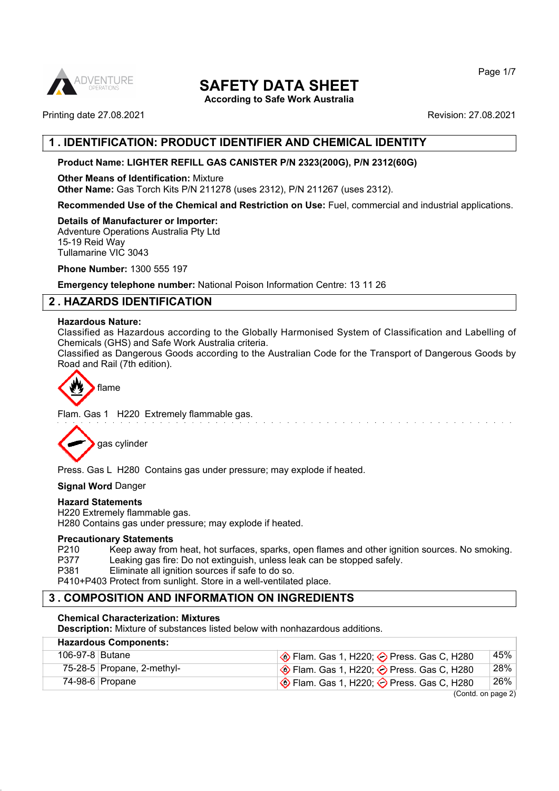

**According to Safe Work Australia**

Printing date 27.08.2021 Revision: 27.08.2021

## **1 . IDENTIFICATION: PRODUCT IDENTIFIER AND CHEMICAL IDENTITY**

### **Product Name: LIGHTER REFILL GAS CANISTER P/N 2323(200G), P/N 2312(60G)**

**Other Means of Identification:** Mixture **Other Name:** Gas Torch Kits P/N 211278 (uses 2312), P/N 211267 (uses 2312).

**Recommended Use of the Chemical and Restriction on Use:** Fuel, commercial and industrial applications.

#### **Details of Manufacturer or Importer:**

Adventure Operations Australia Pty Ltd 15-19 Reid Way Tullamarine VIC 3043

**Phone Number:** 1300 555 197

**Emergency telephone number:** National Poison Information Centre: 13 11 26

## **2 . HAZARDS IDENTIFICATION**

#### **Hazardous Nature:**

Classified as Hazardous according to the Globally Harmonised System of Classification and Labelling of Chemicals (GHS) and Safe Work Australia criteria.

Classified as Dangerous Goods according to the Australian Code for the Transport of Dangerous Goods by Road and Rail (7th edition).



Flam. Gas 1 H220 Extremely flammable gas.



Press. Gas L H280 Contains gas under pressure; may explode if heated.

**Signal Word** Danger

#### **Hazard Statements**

H220 Extremely flammable gas. H280 Contains gas under pressure; may explode if heated.

#### **Precautionary Statements**

P210 Keep away from heat, hot surfaces, sparks, open flames and other ignition sources. No smoking.<br>P377 Leaking gas fire: Do not extinguish, unless leak can be stopped safely. Leaking gas fire: Do not extinguish, unless leak can be stopped safely.

P381 Eliminate all ignition sources if safe to do so.

P410+P403 Protect from sunlight. Store in a well-ventilated place.

## **3 . COMPOSITION AND INFORMATION ON INGREDIENTS**

#### **Chemical Characterization: Mixtures**

**Description:** Mixture of substances listed below with nonhazardous additions.

| <b>Hazardous Components:</b>                             |                            |                                                                 |     |  |
|----------------------------------------------------------|----------------------------|-----------------------------------------------------------------|-----|--|
| 106-97-8 Butane                                          |                            | $\Diamond$ Flam. Gas 1, H220; $\Diamond$ Press. Gas C, H280     | 45% |  |
|                                                          | 75-28-5 Propane, 2-methyl- | <b>♦ Flam. Gas 1, H220; ♦ Press. Gas C, H280</b>                | 28% |  |
|                                                          | 74-98-6 Propane            | $\bigotimes$ Flam. Gas 1, H220; $\bigotimes$ Press. Gas C, H280 | 26% |  |
| $(Constant \cap \dots \cap \dots \cap \dots \cap \dots)$ |                            |                                                                 |     |  |

(Contd. on page 2)

Page 1/7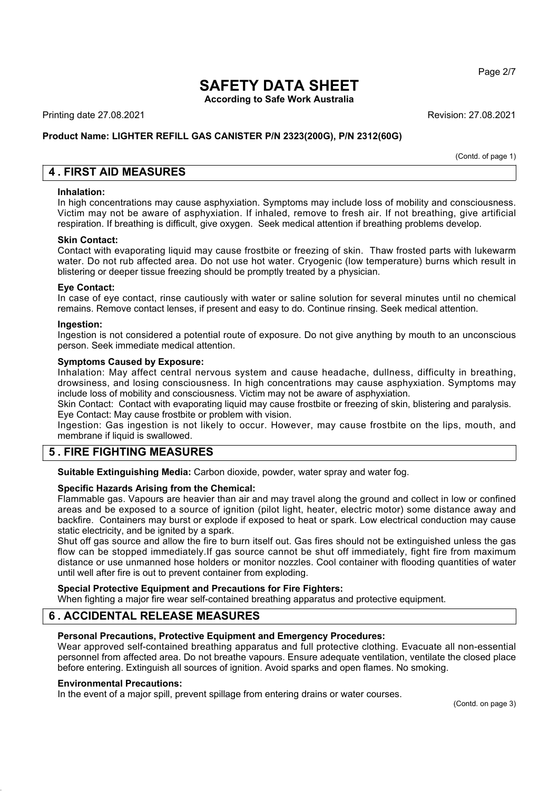**According to Safe Work Australia**

Printing date 27.08.2021 Revision: 27.08.2021

#### **Product Name: LIGHTER REFILL GAS CANISTER P/N 2323(200G), P/N 2312(60G)**

(Contd. of page 1)

Page 2/7

### **4 . FIRST AID MEASURES**

#### **Inhalation:**

In high concentrations may cause asphyxiation. Symptoms may include loss of mobility and consciousness. Victim may not be aware of asphyxiation. If inhaled, remove to fresh air. If not breathing, give artificial respiration. If breathing is difficult, give oxygen. Seek medical attention if breathing problems develop.

#### **Skin Contact:**

Contact with evaporating liquid may cause frostbite or freezing of skin. Thaw frosted parts with lukewarm water. Do not rub affected area. Do not use hot water. Cryogenic (low temperature) burns which result in blistering or deeper tissue freezing should be promptly treated by a physician.

#### **Eye Contact:**

In case of eye contact, rinse cautiously with water or saline solution for several minutes until no chemical remains. Remove contact lenses, if present and easy to do. Continue rinsing. Seek medical attention.

#### **Ingestion:**

Ingestion is not considered a potential route of exposure. Do not give anything by mouth to an unconscious person. Seek immediate medical attention.

#### **Symptoms Caused by Exposure:**

Inhalation: May affect central nervous system and cause headache, dullness, difficulty in breathing, drowsiness, and losing consciousness. In high concentrations may cause asphyxiation. Symptoms may include loss of mobility and consciousness. Victim may not be aware of asphyxiation.

Skin Contact: Contact with evaporating liquid may cause frostbite or freezing of skin, blistering and paralysis. Eye Contact: May cause frostbite or problem with vision.

Ingestion: Gas ingestion is not likely to occur. However, may cause frostbite on the lips, mouth, and membrane if liquid is swallowed.

### **5 . FIRE FIGHTING MEASURES**

**Suitable Extinguishing Media:** Carbon dioxide, powder, water spray and water fog.

#### **Specific Hazards Arising from the Chemical:**

Flammable gas. Vapours are heavier than air and may travel along the ground and collect in low or confined areas and be exposed to a source of ignition (pilot light, heater, electric motor) some distance away and backfire. Containers may burst or explode if exposed to heat or spark. Low electrical conduction may cause static electricity, and be ignited by a spark.

Shut off gas source and allow the fire to burn itself out. Gas fires should not be extinguished unless the gas flow can be stopped immediately.If gas source cannot be shut off immediately, fight fire from maximum distance or use unmanned hose holders or monitor nozzles. Cool container with flooding quantities of water until well after fire is out to prevent container from exploding.

## **Special Protective Equipment and Precautions for Fire Fighters:**

When fighting a major fire wear self-contained breathing apparatus and protective equipment.

## **6 . ACCIDENTAL RELEASE MEASURES**

#### **Personal Precautions, Protective Equipment and Emergency Procedures:**

Wear approved self-contained breathing apparatus and full protective clothing. Evacuate all non-essential personnel from affected area. Do not breathe vapours. Ensure adequate ventilation, ventilate the closed place before entering. Extinguish all sources of ignition. Avoid sparks and open flames. No smoking.

#### **Environmental Precautions:**

In the event of a major spill, prevent spillage from entering drains or water courses.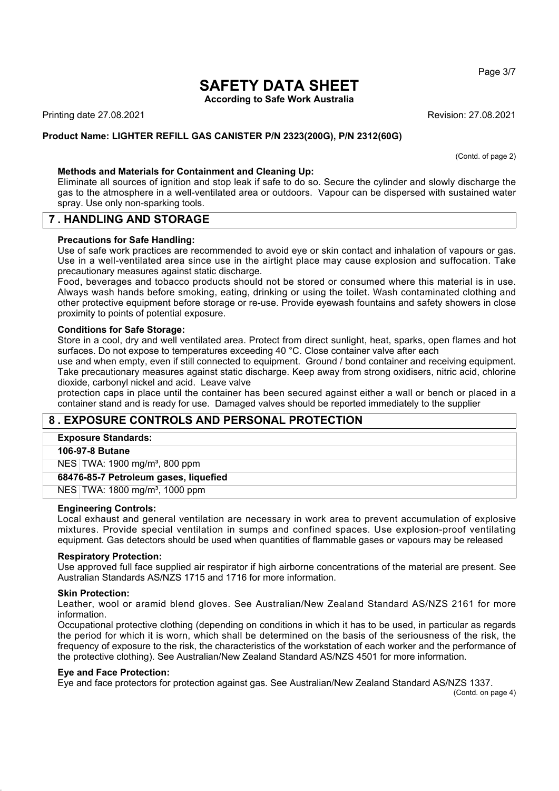**According to Safe Work Australia**

Printing date 27.08.2021 Revision: 27.08.2021

#### **Product Name: LIGHTER REFILL GAS CANISTER P/N 2323(200G), P/N 2312(60G)**

(Contd. of page 2)

#### **Methods and Materials for Containment and Cleaning Up:**

Eliminate all sources of ignition and stop leak if safe to do so. Secure the cylinder and slowly discharge the gas to the atmosphere in a well-ventilated area or outdoors. Vapour can be dispersed with sustained water spray. Use only non-sparking tools.

### **7 . HANDLING AND STORAGE**

#### **Precautions for Safe Handling:**

Use of safe work practices are recommended to avoid eye or skin contact and inhalation of vapours or gas. Use in a well-ventilated area since use in the airtight place may cause explosion and suffocation. Take precautionary measures against static discharge.

Food, beverages and tobacco products should not be stored or consumed where this material is in use. Always wash hands before smoking, eating, drinking or using the toilet. Wash contaminated clothing and other protective equipment before storage or re-use. Provide eyewash fountains and safety showers in close proximity to points of potential exposure.

#### **Conditions for Safe Storage:**

Store in a cool, dry and well ventilated area. Protect from direct sunlight, heat, sparks, open flames and hot surfaces. Do not expose to temperatures exceeding 40 °C. Close container valve after each

use and when empty, even if still connected to equipment. Ground / bond container and receiving equipment. Take precautionary measures against static discharge. Keep away from strong oxidisers, nitric acid, chlorine dioxide, carbonyl nickel and acid. Leave valve

protection caps in place until the container has been secured against either a wall or bench or placed in a container stand and is ready for use. Damaged valves should be reported immediately to the supplier

### **8 . EXPOSURE CONTROLS AND PERSONAL PROTECTION**

#### **Exposure Standards:**

#### **106-97-8 Butane**

NES TWA: 1900 mg/m<sup>3</sup>, 800 ppm

**68476-85-7 Petroleum gases, liquefied**

NES TWA: 1800 mg/m³, 1000 ppm

#### **Engineering Controls:**

Local exhaust and general ventilation are necessary in work area to prevent accumulation of explosive mixtures. Provide special ventilation in sumps and confined spaces. Use explosion-proof ventilating equipment. Gas detectors should be used when quantities of flammable gases or vapours may be released

#### **Respiratory Protection:**

Use approved full face supplied air respirator if high airborne concentrations of the material are present. See Australian Standards AS/NZS 1715 and 1716 for more information.

#### **Skin Protection:**

Leather, wool or aramid blend gloves. See Australian/New Zealand Standard AS/NZS 2161 for more information.

Occupational protective clothing (depending on conditions in which it has to be used, in particular as regards the period for which it is worn, which shall be determined on the basis of the seriousness of the risk, the frequency of exposure to the risk, the characteristics of the workstation of each worker and the performance of the protective clothing). See Australian/New Zealand Standard AS/NZS 4501 for more information.

#### **Eye and Face Protection:**

Eye and face protectors for protection against gas. See Australian/New Zealand Standard AS/NZS 1337.

(Contd. on page 4)

Page 3/7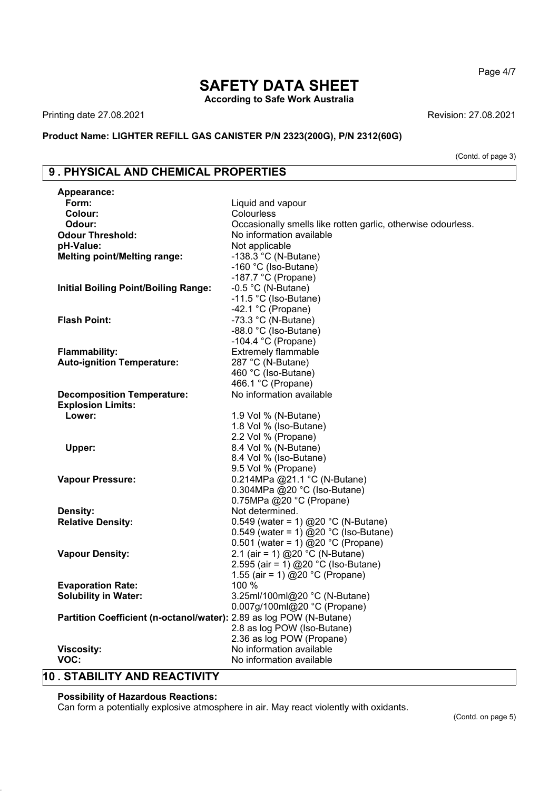Page 4/7

## **SAFETY DATA SHEET According to Safe Work Australia**

Printing date 27.08.2021 **Revision: 27.08.2021** 

**Product Name: LIGHTER REFILL GAS CANISTER P/N 2323(200G), P/N 2312(60G)**

(Contd. of page 3)

## **9 . PHYSICAL AND CHEMICAL PROPERTIES**

| Appearance:                                                         |                                                              |
|---------------------------------------------------------------------|--------------------------------------------------------------|
| Form:                                                               | Liquid and vapour                                            |
| Colour:                                                             | Colourless                                                   |
| Odour:                                                              | Occasionally smells like rotten garlic, otherwise odourless. |
| <b>Odour Threshold:</b>                                             | No information available                                     |
| pH-Value:                                                           | Not applicable                                               |
| <b>Melting point/Melting range:</b>                                 | -138.3 $^{\circ}$ C (N-Butane)                               |
|                                                                     | -160 °C (Iso-Butane)                                         |
|                                                                     | -187.7 $°C$ (Propane)                                        |
| <b>Initial Boiling Point/Boiling Range:</b>                         | $-0.5$ °C (N-Butane)                                         |
|                                                                     | -11.5 °C (Iso-Butane)                                        |
|                                                                     | -42.1 $°C$ (Propane)                                         |
| <b>Flash Point:</b>                                                 | -73.3 $^{\circ}$ C (N-Butane)                                |
|                                                                     | -88.0 °C (Iso-Butane)                                        |
|                                                                     | -104.4 $^{\circ}$ C (Propane)                                |
| <b>Flammability:</b>                                                | <b>Extremely flammable</b>                                   |
| <b>Auto-ignition Temperature:</b>                                   | 287 °C (N-Butane)                                            |
|                                                                     | 460 °C (Iso-Butane)                                          |
|                                                                     | 466.1 °C (Propane)                                           |
| <b>Decomposition Temperature:</b>                                   | No information available                                     |
| <b>Explosion Limits:</b>                                            |                                                              |
| Lower:                                                              | 1.9 Vol % (N-Butane)<br>1.8 Vol % (Iso-Butane)               |
|                                                                     | 2.2 Vol % (Propane)                                          |
| Upper:                                                              | 8.4 Vol % (N-Butane)                                         |
|                                                                     | 8.4 Vol % (Iso-Butane)                                       |
|                                                                     | 9.5 Vol % (Propane)                                          |
| <b>Vapour Pressure:</b>                                             | 0.214MPa @21.1 °C (N-Butane)                                 |
|                                                                     | 0.304MPa @20 °C (Iso-Butane)                                 |
|                                                                     | 0.75MPa @20 °C (Propane)                                     |
| Density:                                                            | Not determined.                                              |
| <b>Relative Density:</b>                                            | 0.549 (water = 1) @20 °C (N-Butane)                          |
|                                                                     | 0.549 (water = 1) @20 °C (Iso-Butane)                        |
|                                                                     | 0.501 (water = 1) @20 °C (Propane)                           |
| <b>Vapour Density:</b>                                              | 2.1 (air = 1) @20 °C (N-Butane)                              |
|                                                                     | 2.595 (air = $1)$ @20 °C (Iso-Butane)                        |
|                                                                     | 1.55 (air = 1) @20 °C (Propane)                              |
| <b>Evaporation Rate:</b>                                            | 100 %                                                        |
| <b>Solubility in Water:</b>                                         | 3.25ml/100ml@20 °C (N-Butane)                                |
|                                                                     | 0.007g/100ml@20 °C (Propane)                                 |
| Partition Coefficient (n-octanol/water): 2.89 as log POW (N-Butane) |                                                              |
|                                                                     | 2.8 as log POW (Iso-Butane)                                  |
|                                                                     | 2.36 as log POW (Propane)                                    |
| <b>Viscosity:</b>                                                   | No information available                                     |
| VOC:                                                                | No information available                                     |

## **10 . STABILITY AND REACTIVITY**

#### **Possibility of Hazardous Reactions:**

Can form a potentially explosive atmosphere in air. May react violently with oxidants.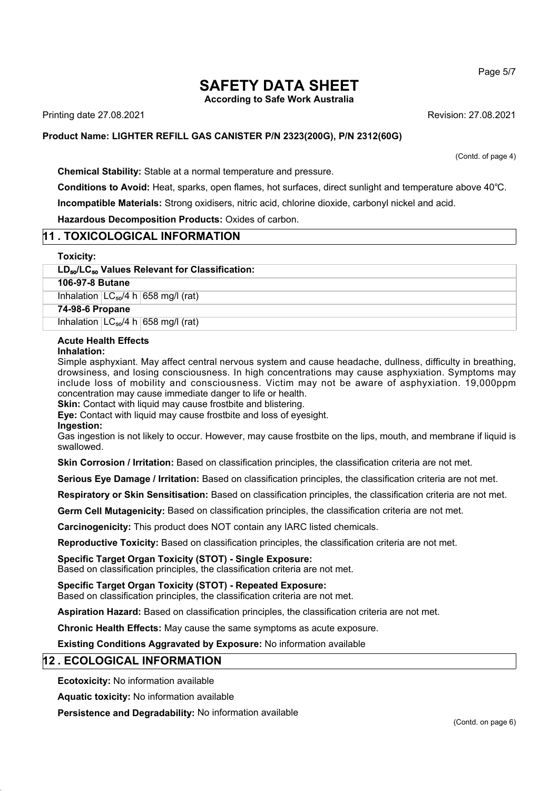**According to Safe Work Australia**

Printing date 27.08.2021 Revision: 27.08.2021

#### **Product Name: LIGHTER REFILL GAS CANISTER P/N 2323(200G), P/N 2312(60G)**

(Contd. of page 4)

**Chemical Stability:** Stable at a normal temperature and pressure.

**Conditions to Avoid:** Heat, sparks, open flames, hot surfaces, direct sunlight and temperature above 40℃. **Incompatible Materials:** Strong oxidisers, nitric acid, chlorine dioxide, carbonyl nickel and acid.

**Hazardous Decomposition Products:** Oxides of carbon.

#### **11 . TOXICOLOGICAL INFORMATION**

#### **Toxicity:**

#### **LD**₅₀**/LC**₅₀ **Values Relevant for Classification:**

**106-97-8 Butane**

Inhalation  $LC_{50}/4$  h 658 mg/l (rat)

**74-98-6 Propane**

Inhalation  $LC_{50}/4$  h 658 mg/l (rat)

#### **Acute Health Effects**

#### **Inhalation:**

Simple asphyxiant. May affect central nervous system and cause headache, dullness, difficulty in breathing, drowsiness, and losing consciousness. In high concentrations may cause asphyxiation. Symptoms may include loss of mobility and consciousness. Victim may not be aware of asphyxiation. 19,000ppm concentration may cause immediate danger to life or health.

**Skin:** Contact with liquid may cause frostbite and blistering.

**Eye:** Contact with liquid may cause frostbite and loss of eyesight.

**Ingestion:**

Gas ingestion is not likely to occur. However, may cause frostbite on the lips, mouth, and membrane if liquid is swallowed.

**Skin Corrosion / Irritation:** Based on classification principles, the classification criteria are not met.

**Serious Eye Damage / Irritation:** Based on classification principles, the classification criteria are not met.

**Respiratory or Skin Sensitisation:** Based on classification principles, the classification criteria are not met.

**Germ Cell Mutagenicity:** Based on classification principles, the classification criteria are not met.

**Carcinogenicity:** This product does NOT contain any IARC listed chemicals.

**Reproductive Toxicity:** Based on classification principles, the classification criteria are not met.

**Specific Target Organ Toxicity (STOT) - Single Exposure:**

Based on classification principles, the classification criteria are not met.

**Specific Target Organ Toxicity (STOT) - Repeated Exposure:**

Based on classification principles, the classification criteria are not met.

**Aspiration Hazard:** Based on classification principles, the classification criteria are not met.

**Chronic Health Effects:** May cause the same symptoms as acute exposure.

**Existing Conditions Aggravated by Exposure:** No information available

#### **12 . ECOLOGICAL INFORMATION**

**Ecotoxicity:** No information available

**Aquatic toxicity:** No information available

**Persistence and Degradability:** No information available

(Contd. on page 6)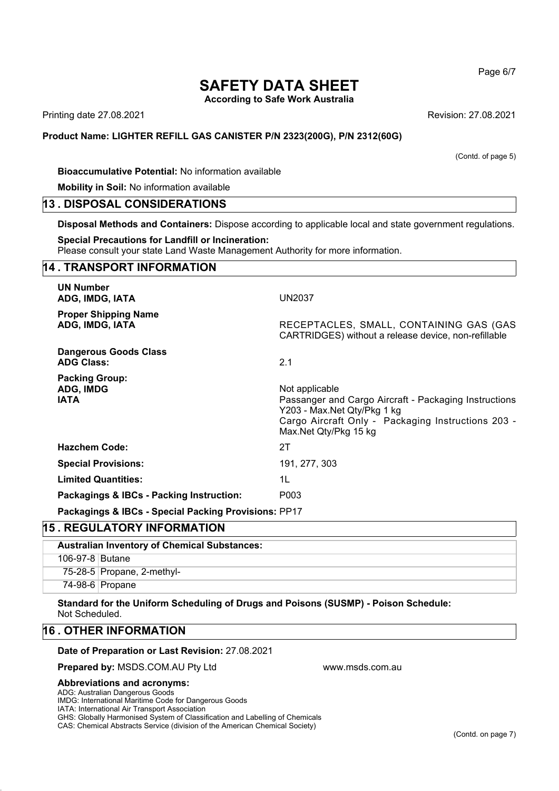**According to Safe Work Australia**

Printing date 27.08.2021 Revision: 27.08.2021

#### **Product Name: LIGHTER REFILL GAS CANISTER P/N 2323(200G), P/N 2312(60G)**

**Bioaccumulative Potential:** No information available

**Mobility in Soil:** No information available

#### **13 . DISPOSAL CONSIDERATIONS**

**Disposal Methods and Containers:** Dispose according to applicable local and state government regulations.

#### **Special Precautions for Landfill or Incineration:**

Please consult your state Land Waste Management Authority for more information.

## **14 . TRANSPORT INFORMATION UN Number ADG, IMDG, IATA** UN2037 **Proper Shipping Name ADG, IMDG, IATA** RECEPTACLES, SMALL, CONTAINING GAS (GAS CARTRIDGES) without a release device, non-refillable **Dangerous Goods Class ADG Class:** 2.1 **Packing Group:** ADG, IMDG **Not applicable** Not applicable **IATA Passanger and Cargo Aircraft - Packaging Instructions** Y203 - Max.Net Qty/Pkg 1 kg Cargo Aircraft Only - Packaging Instructions 203 -Max.Net Qty/Pkg 15 kg **Hazchem Code:** 2T **Special Provisions:** 191, 277, 303 **Limited Quantities:** 1L **Packagings & IBCs - Packing Instruction:** P003 **Packagings & IBCs - Special Packing Provisions:** PP17

### **15 . REGULATORY INFORMATION**

| <b>Australian Inventory of Chemical Substances:</b> |                            |  |  |  |
|-----------------------------------------------------|----------------------------|--|--|--|
| 106-97-8 Butane                                     |                            |  |  |  |
|                                                     | 75-28-5 Propane, 2-methyl- |  |  |  |
|                                                     | 74-98-6 Propane            |  |  |  |

www.msds.com.au

**Standard for the Uniform Scheduling of Drugs and Poisons (SUSMP) - Poison Schedule:** Not Scheduled.

#### **16 . OTHER INFORMATION**

#### **Date of Preparation or Last Revision:** 27.08.2021

**Prepared by:** MSDS.COM.AU Pty Ltd

#### **Abbreviations and acronyms:**

ADG: Australian Dangerous Goods

IMDG: International Maritime Code for Dangerous Goods

IATA: International Air Transport Association

GHS: Globally Harmonised System of Classification and Labelling of Chemicals

CAS: Chemical Abstracts Service (division of the American Chemical Society)

Page 6/7

(Contd. of page 5)